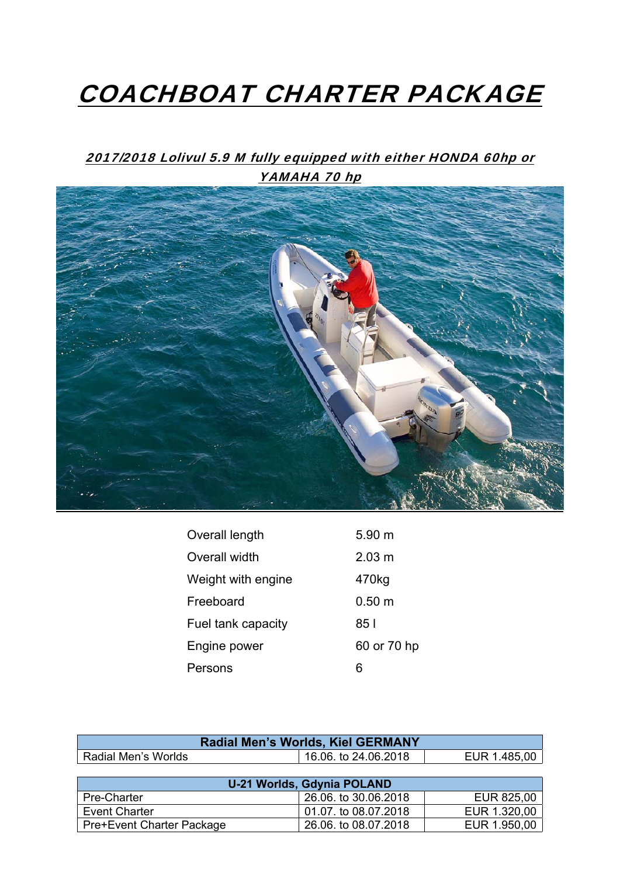## COACHBOAT CHARTER PACKAGE

## 2017/2018 Lolivul 5.9 M fully equipped with either HONDA 60hp or YAMAHA 70 hp



| Overall length     | 5.90 m           |
|--------------------|------------------|
| Overall width      | $2.03 \text{ m}$ |
| Weight with engine | 470kg            |
| Freeboard          | $0.50 \text{ m}$ |
| Fuel tank capacity | 85 I             |
| Engine power       | 60 or 70 hp      |
| Persons            | 6                |

| <b>Radial Men's Worlds, Kiel GERMANY</b> |                      |              |
|------------------------------------------|----------------------|--------------|
| <b>Radial Men's Worlds</b>               | 16.06. to 24.06.2018 | EUR 1.485,00 |
|                                          |                      |              |
| <b>U-21 Worlds, Gdynia POLAND</b>        |                      |              |
| Pre-Charter                              | 26.06. to 30.06.2018 | EUR 825,00   |
| <b>Event Charter</b>                     | 01.07. to 08.07.2018 | EUR 1.320,00 |
| <b>Pre+Event Charter Package</b>         | 26.06. to 08.07.2018 | EUR 1.950,00 |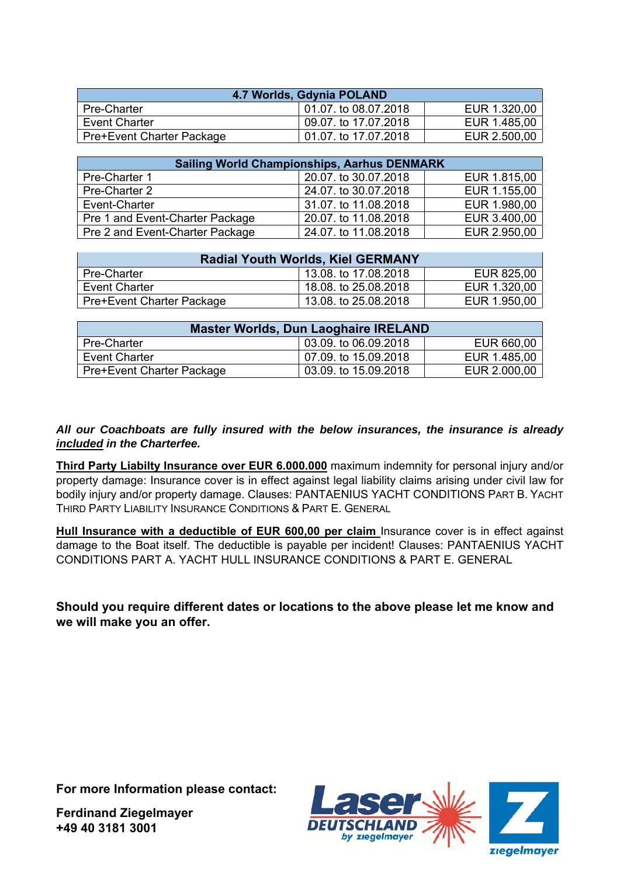| 4.7 Worlds, Gdynia POLAND |                      |              |
|---------------------------|----------------------|--------------|
| Pre-Charter               | 01.07. to 08.07.2018 | EUR 1.320,00 |
| <b>Event Charter</b>      | 09.07. to 17.07.2018 | EUR 1.485,00 |
| Pre+Event Charter Package | 01.07. to 17.07.2018 | EUR 2.500,00 |

| <b>Sailing World Championships, Aarhus DENMARK</b> |                      |              |  |
|----------------------------------------------------|----------------------|--------------|--|
| Pre-Charter 1                                      | 20.07. to 30.07.2018 | EUR 1.815,00 |  |
| Pre-Charter 2                                      | 24.07. to 30.07.2018 | EUR 1.155,00 |  |
| Event-Charter                                      | 31.07, to 11.08.2018 | EUR 1.980,00 |  |
| Pre 1 and Event-Charter Package                    | 20.07. to 11.08.2018 | EUR 3.400,00 |  |
| Pre 2 and Event-Charter Package                    | 24.07. to 11.08.2018 | EUR 2.950,00 |  |

| <b>Radial Youth Worlds, Kiel GERMANY</b> |                      |              |
|------------------------------------------|----------------------|--------------|
| Pre-Charter                              | 13.08. to 17.08.2018 | EUR 825,00   |
| <b>Event Charter</b>                     | 18.08. to 25.08.2018 | EUR 1.320,00 |
| <b>Pre+Event Charter Package</b>         | 13.08. to 25.08.2018 | EUR 1.950,00 |

| Master Worlds, Dun Laoghaire IRELAND |                      |              |  |
|--------------------------------------|----------------------|--------------|--|
| <b>Pre-Charter</b>                   | 03.09. to 06.09.2018 | EUR 660,00   |  |
| Event Charter                        | 07.09. to 15.09.2018 | EUR 1.485,00 |  |
| <b>Pre+Event Charter Package</b>     | 03.09. to 15.09.2018 | EUR 2.000,00 |  |

## *All our Coachboats are fully insured with the below insurances, the insurance is already included in the Charterfee.*

**Third Party Liabilty Insurance over EUR 6.000.000** maximum indemnity for personal injury and/or property damage: Insurance cover is in effect against legal liability claims arising under civil law for bodily injury and/or property damage. Clauses: PANTAENIUS YACHT CONDITIONS PART B. YACHT THIRD PARTY LIABILITY INSURANCE CONDITIONS & PART E. GENERAL

**Hull Insurance with a deductible of EUR 600,00 per claim** Insurance cover is in effect against damage to the Boat itself. The deductible is payable per incident! Clauses: PANTAENIUS YACHT CONDITIONS PART A. YACHT HULL INSURANCE CONDITIONS & PART E. GENERAL

**Should you require different dates or locations to the above please let me know and we will make you an offer.** 

**For more Information please contact:** 

**Ferdinand Ziegelmayer +49 40 3181 3001**